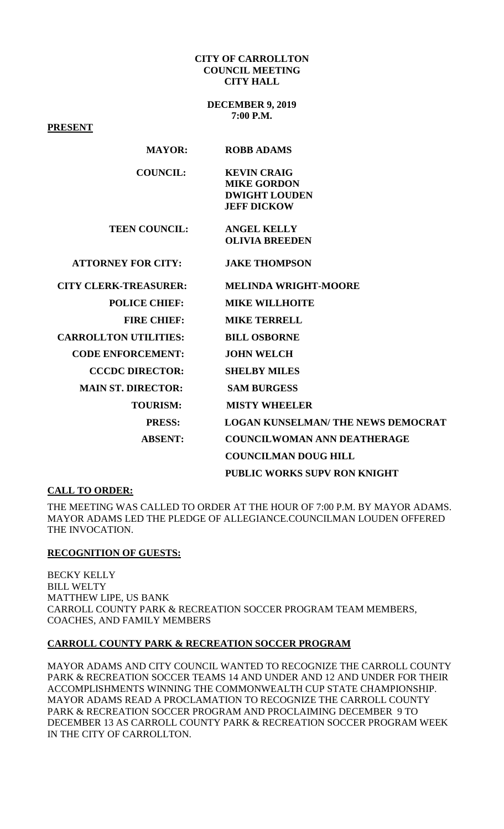#### **CITY OF CARROLLTON COUNCIL MEETING CITY HALL**

**DECEMBER 9, 2019 7:00 P.M.**

**PRESENT MAYOR: ROBB ADAMS COUNCIL: KEVIN CRAIG MIKE GORDON DWIGHT LOUDEN JEFF DICKOW TEEN COUNCIL: ANGEL KELLY OLIVIA BREEDEN ATTORNEY FOR CITY: JAKE THOMPSON CITY CLERK-TREASURER: MELINDA WRIGHT-MOORE POLICE CHIEF: MIKE WILLHOITE FIRE CHIEF: MIKE TERRELL CARROLLTON UTILITIES: BILL OSBORNE CODE ENFORCEMENT: JOHN WELCH CCCDC DIRECTOR: SHELBY MILES MAIN ST. DIRECTOR: SAM BURGESS TOURISM: MISTY WHEELER PRESS: LOGAN KUNSELMAN/ THE NEWS DEMOCRAT ABSENT: COUNCILWOMAN ANN DEATHERAGE COUNCILMAN DOUG HILL PUBLIC WORKS SUPV RON KNIGHT**

## **CALL TO ORDER:**

THE MEETING WAS CALLED TO ORDER AT THE HOUR OF 7:00 P.M. BY MAYOR ADAMS. MAYOR ADAMS LED THE PLEDGE OF ALLEGIANCE.COUNCILMAN LOUDEN OFFERED THE INVOCATION.

## **RECOGNITION OF GUESTS:**

BECKY KELLY BILL WELTY MATTHEW LIPE, US BANK CARROLL COUNTY PARK & RECREATION SOCCER PROGRAM TEAM MEMBERS, COACHES, AND FAMILY MEMBERS

## **CARROLL COUNTY PARK & RECREATION SOCCER PROGRAM**

MAYOR ADAMS AND CITY COUNCIL WANTED TO RECOGNIZE THE CARROLL COUNTY PARK & RECREATION SOCCER TEAMS 14 AND UNDER AND 12 AND UNDER FOR THEIR ACCOMPLISHMENTS WINNING THE COMMONWEALTH CUP STATE CHAMPIONSHIP. MAYOR ADAMS READ A PROCLAMATION TO RECOGNIZE THE CARROLL COUNTY PARK & RECREATION SOCCER PROGRAM AND PROCLAIMING DECEMBER 9 TO DECEMBER 13 AS CARROLL COUNTY PARK & RECREATION SOCCER PROGRAM WEEK IN THE CITY OF CARROLLTON.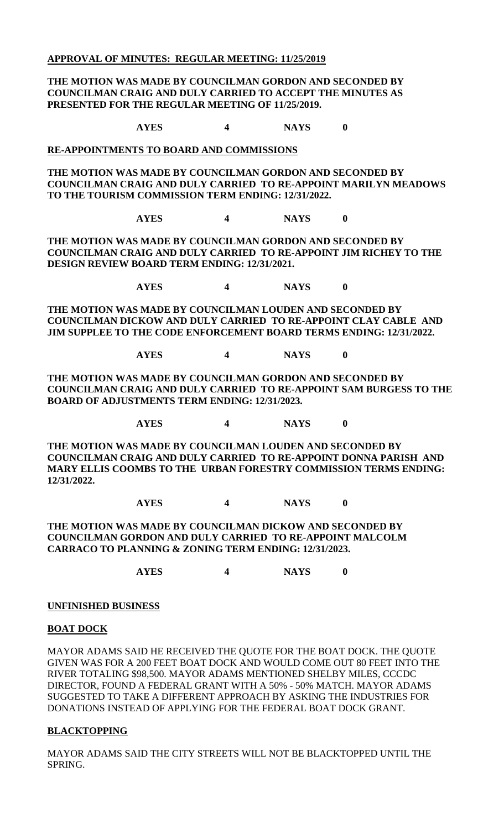## **APPROVAL OF MINUTES: REGULAR MEETING: 11/25/2019**

## **THE MOTION WAS MADE BY COUNCILMAN GORDON AND SECONDED BY COUNCILMAN CRAIG AND DULY CARRIED TO ACCEPT THE MINUTES AS PRESENTED FOR THE REGULAR MEETING OF 11/25/2019.**

 **AYES 4 NAYS 0**

#### **RE-APPOINTMENTS TO BOARD AND COMMISSIONS**

**THE MOTION WAS MADE BY COUNCILMAN GORDON AND SECONDED BY COUNCILMAN CRAIG AND DULY CARRIED TO RE-APPOINT MARILYN MEADOWS TO THE TOURISM COMMISSION TERM ENDING: 12/31/2022.**

**AYES 4 NAYS 0**

**THE MOTION WAS MADE BY COUNCILMAN GORDON AND SECONDED BY COUNCILMAN CRAIG AND DULY CARRIED TO RE-APPOINT JIM RICHEY TO THE DESIGN REVIEW BOARD TERM ENDING: 12/31/2021.**

**AYES 4 NAYS 0**

**THE MOTION WAS MADE BY COUNCILMAN LOUDEN AND SECONDED BY COUNCILMAN DICKOW AND DULY CARRIED TO RE-APPOINT CLAY CABLE AND JIM SUPPLEE TO THE CODE ENFORCEMENT BOARD TERMS ENDING: 12/31/2022.**

**AYES 4 NAYS 0**

**THE MOTION WAS MADE BY COUNCILMAN GORDON AND SECONDED BY COUNCILMAN CRAIG AND DULY CARRIED TO RE-APPOINT SAM BURGESS TO THE BOARD OF ADJUSTMENTS TERM ENDING: 12/31/2023.**

**AYES 4 NAYS 0**

**THE MOTION WAS MADE BY COUNCILMAN LOUDEN AND SECONDED BY COUNCILMAN CRAIG AND DULY CARRIED TO RE-APPOINT DONNA PARISH AND MARY ELLIS COOMBS TO THE URBAN FORESTRY COMMISSION TERMS ENDING: 12/31/2022.**

## **AYES 4 NAYS 0**

#### **THE MOTION WAS MADE BY COUNCILMAN DICKOW AND SECONDED BY COUNCILMAN GORDON AND DULY CARRIED TO RE-APPOINT MALCOLM CARRACO TO PLANNING & ZONING TERM ENDING: 12/31/2023.**

**AYES 4 NAYS 0**

# **UNFINISHED BUSINESS**

## **BOAT DOCK**

MAYOR ADAMS SAID HE RECEIVED THE QUOTE FOR THE BOAT DOCK. THE QUOTE GIVEN WAS FOR A 200 FEET BOAT DOCK AND WOULD COME OUT 80 FEET INTO THE RIVER TOTALING \$98,500. MAYOR ADAMS MENTIONED SHELBY MILES, CCCDC DIRECTOR, FOUND A FEDERAL GRANT WITH A 50% - 50% MATCH. MAYOR ADAMS SUGGESTED TO TAKE A DIFFERENT APPROACH BY ASKING THE INDUSTRIES FOR DONATIONS INSTEAD OF APPLYING FOR THE FEDERAL BOAT DOCK GRANT.

## **BLACKTOPPING**

MAYOR ADAMS SAID THE CITY STREETS WILL NOT BE BLACKTOPPED UNTIL THE SPRING.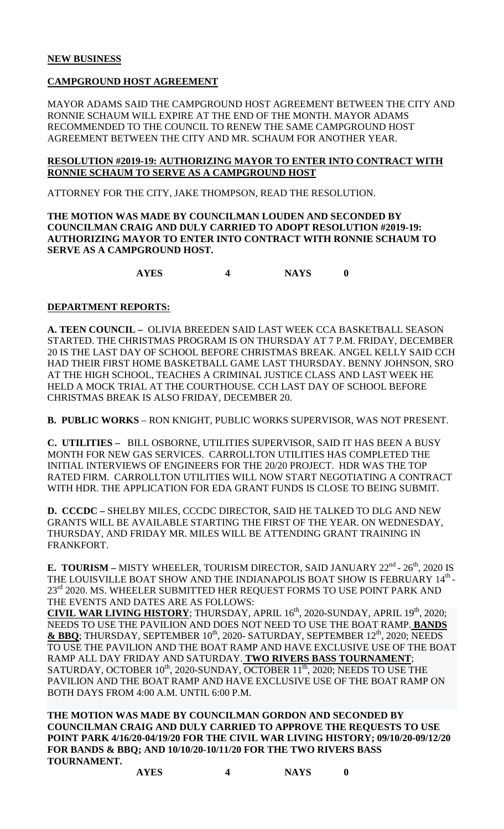# **NEW BUSINESS**

# **CAMPGROUND HOST AGREEMENT**

MAYOR ADAMS SAID THE CAMPGROUND HOST AGREEMENT BETWEEN THE CITY AND RONNIE SCHAUM WILL EXPIRE AT THE END OF THE MONTH. MAYOR ADAMS RECOMMENDED TO THE COUNCIL TO RENEW THE SAME CAMPGROUND HOST AGREEMENT BETWEEN THE CITY AND MR. SCHAUM FOR ANOTHER YEAR.

#### **RESOLUTION #2019-19: AUTHORIZING MAYOR TO ENTER INTO CONTRACT WITH RONNIE SCHAUM TO SERVE AS A CAMPGROUND HOST**

ATTORNEY FOR THE CITY, JAKE THOMPSON, READ THE RESOLUTION.

# **THE MOTION WAS MADE BY COUNCILMAN LOUDEN AND SECONDED BY COUNCILMAN CRAIG AND DULY CARRIED TO ADOPT RESOLUTION #2019-19: AUTHORIZING MAYOR TO ENTER INTO CONTRACT WITH RONNIE SCHAUM TO SERVE AS A CAMPGROUND HOST.**

**AYES 4 NAYS 0**

# **DEPARTMENT REPORTS:**

**A. TEEN COUNCIL –** OLIVIA BREEDEN SAID LAST WEEK CCA BASKETBALL SEASON STARTED. THE CHRISTMAS PROGRAM IS ON THURSDAY AT 7 P.M. FRIDAY, DECEMBER 20 IS THE LAST DAY OF SCHOOL BEFORE CHRISTMAS BREAK. ANGEL KELLY SAID CCH HAD THEIR FIRST HOME BASKETBALL GAME LAST THURSDAY. BENNY JOHNSON, SRO AT THE HIGH SCHOOL, TEACHES A CRIMINAL JUSTICE CLASS AND LAST WEEK HE HELD A MOCK TRIAL AT THE COURTHOUSE. CCH LAST DAY OF SCHOOL BEFORE CHRISTMAS BREAK IS ALSO FRIDAY, DECEMBER 20.

**B. PUBLIC WORKS** – RON KNIGHT, PUBLIC WORKS SUPERVISOR, WAS NOT PRESENT.

**C. UTILITIES –** BILL OSBORNE, UTILITIES SUPERVISOR, SAID IT HAS BEEN A BUSY MONTH FOR NEW GAS SERVICES. CARROLLTON UTILITIES HAS COMPLETED THE INITIAL INTERVIEWS OF ENGINEERS FOR THE 20/20 PROJECT. HDR WAS THE TOP RATED FIRM. CARROLLTON UTILITIES WILL NOW START NEGOTIATING A CONTRACT WITH HDR. THE APPLICATION FOR EDA GRANT FUNDS IS CLOSE TO BEING SUBMIT.

**D. CCCDC –** SHELBY MILES, CCCDC DIRECTOR, SAID HE TALKED TO DLG AND NEW GRANTS WILL BE AVAILABLE STARTING THE FIRST OF THE YEAR. ON WEDNESDAY, THURSDAY, AND FRIDAY MR. MILES WILL BE ATTENDING GRANT TRAINING IN FRANKFORT.

**E. TOURISM** – MISTY WHEELER, TOURISM DIRECTOR, SAID JANUARY 22<sup>nd</sup> - 26<sup>th</sup>, 2020 IS THE LOUISVILLE BOAT SHOW AND THE INDIANAPOLIS BOAT SHOW IS FEBRUARY 14<sup>th</sup> -23<sup>rd</sup> 2020. MS. WHEELER SUBMITTED HER REQUEST FORMS TO USE POINT PARK AND THE EVENTS AND DATES ARE AS FOLLOWS:

**CIVIL WAR LIVING HISTORY**; THURSDAY, APRIL 16<sup>th</sup>, 2020-SUNDAY, APRIL 19<sup>th</sup>, 2020; NEEDS TO USE THE PAVILION AND DOES NOT NEED TO USE THE BOAT RAMP. **BANDS**  & BBQ; THURSDAY, SEPTEMBER 10<sup>th</sup>, 2020- SATURDAY, SEPTEMBER 12<sup>th</sup>, 2020; NEEDS TO USE THE PAVILION AND THE BOAT RAMP AND HAVE EXCLUSIVE USE OF THE BOAT RAMP ALL DAY FRIDAY AND SATURDAY. **TWO RIVERS BASS TOURNAMENT**; SATURDAY, OCTOBER  $10^{th}$ , 2020-SUNDAY, OCTOBER  $11^{th}$ , 2020; NEEDS TO USE THE PAVILION AND THE BOAT RAMP AND HAVE EXCLUSIVE USE OF THE BOAT RAMP ON BOTH DAYS FROM 4:00 A.M. UNTIL 6:00 P.M.

**THE MOTION WAS MADE BY COUNCILMAN GORDON AND SECONDED BY COUNCILMAN CRAIG AND DULY CARRIED TO APPROVE THE REQUESTS TO USE POINT PARK 4/16/20-04/19/20 FOR THE CIVIL WAR LIVING HISTORY; 09/10/20-09/12/20 FOR BANDS & BBQ; AND 10/10/20-10/11/20 FOR THE TWO RIVERS BASS TOURNAMENT.**

**AYES 4 NAYS 0**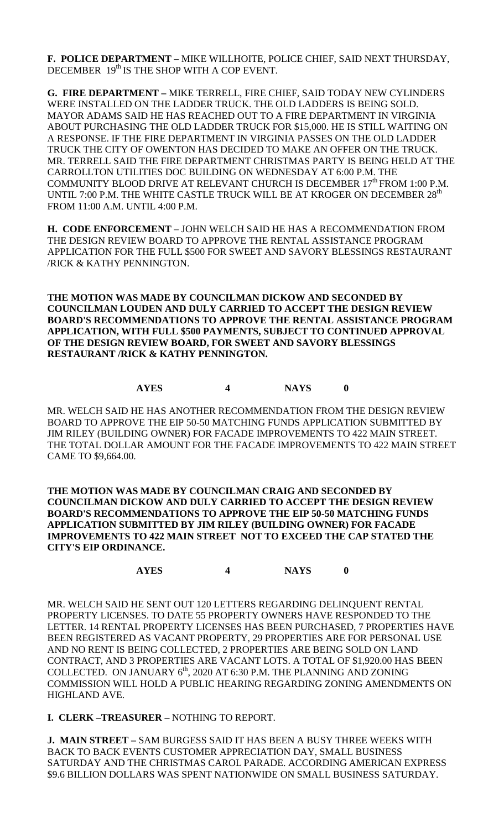**F. POLICE DEPARTMENT –** MIKE WILLHOITE, POLICE CHIEF, SAID NEXT THURSDAY, DECEMBER 19<sup>th</sup> IS THE SHOP WITH A COP EVENT.

**G. FIRE DEPARTMENT –** MIKE TERRELL, FIRE CHIEF, SAID TODAY NEW CYLINDERS WERE INSTALLED ON THE LADDER TRUCK. THE OLD LADDERS IS BEING SOLD. MAYOR ADAMS SAID HE HAS REACHED OUT TO A FIRE DEPARTMENT IN VIRGINIA ABOUT PURCHASING THE OLD LADDER TRUCK FOR \$15,000. HE IS STILL WAITING ON A RESPONSE. IF THE FIRE DEPARTMENT IN VIRGINIA PASSES ON THE OLD LADDER TRUCK THE CITY OF OWENTON HAS DECIDED TO MAKE AN OFFER ON THE TRUCK. MR. TERRELL SAID THE FIRE DEPARTMENT CHRISTMAS PARTY IS BEING HELD AT THE CARROLLTON UTILITIES DOC BUILDING ON WEDNESDAY AT 6:00 P.M. THE COMMUNITY BLOOD DRIVE AT RELEVANT CHURCH IS DECEMBER 17<sup>th</sup> FROM 1:00 P.M. UNTIL 7:00 P.M. THE WHITE CASTLE TRUCK WILL BE AT KROGER ON DECEMBER 28<sup>th</sup> FROM 11:00 A.M. UNTIL 4:00 P.M.

**H. CODE ENFORCEMENT** – JOHN WELCH SAID HE HAS A RECOMMENDATION FROM THE DESIGN REVIEW BOARD TO APPROVE THE RENTAL ASSISTANCE PROGRAM APPLICATION FOR THE FULL \$500 FOR SWEET AND SAVORY BLESSINGS RESTAURANT /RICK & KATHY PENNINGTON.

**THE MOTION WAS MADE BY COUNCILMAN DICKOW AND SECONDED BY COUNCILMAN LOUDEN AND DULY CARRIED TO ACCEPT THE DESIGN REVIEW BOARD'S RECOMMENDATIONS TO APPROVE THE RENTAL ASSISTANCE PROGRAM APPLICATION, WITH FULL \$500 PAYMENTS, SUBJECT TO CONTINUED APPROVAL OF THE DESIGN REVIEW BOARD, FOR SWEET AND SAVORY BLESSINGS RESTAURANT /RICK & KATHY PENNINGTON.**

# **AYES 4 NAYS 0**

MR. WELCH SAID HE HAS ANOTHER RECOMMENDATION FROM THE DESIGN REVIEW BOARD TO APPROVE THE EIP 50-50 MATCHING FUNDS APPLICATION SUBMITTED BY JIM RILEY (BUILDING OWNER) FOR FACADE IMPROVEMENTS TO 422 MAIN STREET. THE TOTAL DOLLAR AMOUNT FOR THE FACADE IMPROVEMENTS TO 422 MAIN STREET CAME TO \$9,664.00.

**THE MOTION WAS MADE BY COUNCILMAN CRAIG AND SECONDED BY COUNCILMAN DICKOW AND DULY CARRIED TO ACCEPT THE DESIGN REVIEW BOARD'S RECOMMENDATIONS TO APPROVE THE EIP 50-50 MATCHING FUNDS APPLICATION SUBMITTED BY JIM RILEY (BUILDING OWNER) FOR FACADE IMPROVEMENTS TO 422 MAIN STREET NOT TO EXCEED THE CAP STATED THE CITY'S EIP ORDINANCE.**

**AYES 4 NAYS 0**

MR. WELCH SAID HE SENT OUT 120 LETTERS REGARDING DELINQUENT RENTAL PROPERTY LICENSES. TO DATE 55 PROPERTY OWNERS HAVE RESPONDED TO THE LETTER. 14 RENTAL PROPERTY LICENSES HAS BEEN PURCHASED, 7 PROPERTIES HAVE BEEN REGISTERED AS VACANT PROPERTY, 29 PROPERTIES ARE FOR PERSONAL USE AND NO RENT IS BEING COLLECTED, 2 PROPERTIES ARE BEING SOLD ON LAND CONTRACT, AND 3 PROPERTIES ARE VACANT LOTS. A TOTAL OF \$1,920.00 HAS BEEN COLLECTED. ON JANUARY  $6<sup>th</sup>$ , 2020 AT 6:30 P.M. THE PLANNING AND ZONING COMMISSION WILL HOLD A PUBLIC HEARING REGARDING ZONING AMENDMENTS ON HIGHLAND AVE.

**I. CLERK –TREASURER –** NOTHING TO REPORT.

**J. MAIN STREET –** SAM BURGESS SAID IT HAS BEEN A BUSY THREE WEEKS WITH BACK TO BACK EVENTS CUSTOMER APPRECIATION DAY, SMALL BUSINESS SATURDAY AND THE CHRISTMAS CAROL PARADE. ACCORDING AMERICAN EXPRESS \$9.6 BILLION DOLLARS WAS SPENT NATIONWIDE ON SMALL BUSINESS SATURDAY.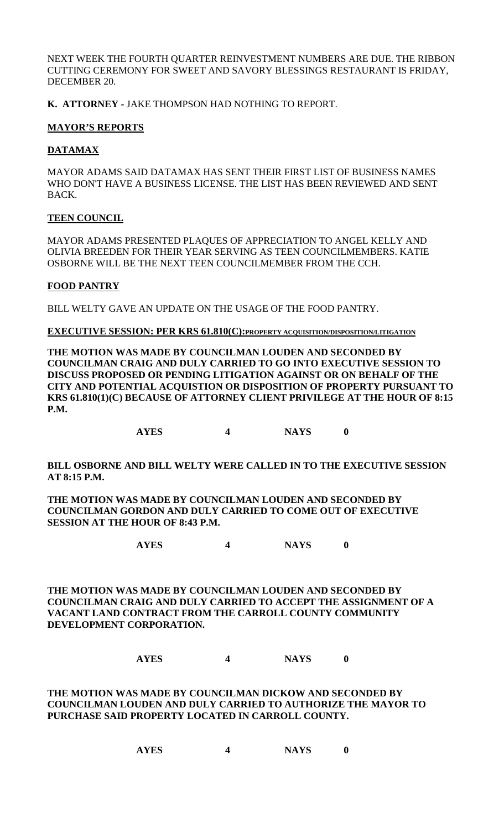NEXT WEEK THE FOURTH QUARTER REINVESTMENT NUMBERS ARE DUE. THE RIBBON CUTTING CEREMONY FOR SWEET AND SAVORY BLESSINGS RESTAURANT IS FRIDAY, DECEMBER 20.

**K. ATTORNEY -** JAKE THOMPSON HAD NOTHING TO REPORT.

# **MAYOR'S REPORTS**

# **DATAMAX**

MAYOR ADAMS SAID DATAMAX HAS SENT THEIR FIRST LIST OF BUSINESS NAMES WHO DON'T HAVE A BUSINESS LICENSE. THE LIST HAS BEEN REVIEWED AND SENT BACK.

## **TEEN COUNCIL**

MAYOR ADAMS PRESENTED PLAQUES OF APPRECIATION TO ANGEL KELLY AND OLIVIA BREEDEN FOR THEIR YEAR SERVING AS TEEN COUNCILMEMBERS. KATIE OSBORNE WILL BE THE NEXT TEEN COUNCILMEMBER FROM THE CCH.

# **FOOD PANTRY**

BILL WELTY GAVE AN UPDATE ON THE USAGE OF THE FOOD PANTRY.

**EXECUTIVE SESSION: PER KRS 61.810(C):PROPERTY ACQUISITION/DISPOSITION/LITIGATION**

**THE MOTION WAS MADE BY COUNCILMAN LOUDEN AND SECONDED BY COUNCILMAN CRAIG AND DULY CARRIED TO GO INTO EXECUTIVE SESSION TO DISCUSS PROPOSED OR PENDING LITIGATION AGAINST OR ON BEHALF OF THE CITY AND POTENTIAL ACQUISTION OR DISPOSITION OF PROPERTY PURSUANT TO KRS 61.810(1)(C) BECAUSE OF ATTORNEY CLIENT PRIVILEGE AT THE HOUR OF 8:15 P.M.**

**AYES 4 NAYS 0**

**BILL OSBORNE AND BILL WELTY WERE CALLED IN TO THE EXECUTIVE SESSION AT 8:15 P.M.**

**THE MOTION WAS MADE BY COUNCILMAN LOUDEN AND SECONDED BY COUNCILMAN GORDON AND DULY CARRIED TO COME OUT OF EXECUTIVE SESSION AT THE HOUR OF 8:43 P.M.**

**AYES 4 NAYS 0**

**THE MOTION WAS MADE BY COUNCILMAN LOUDEN AND SECONDED BY COUNCILMAN CRAIG AND DULY CARRIED TO ACCEPT THE ASSIGNMENT OF A VACANT LAND CONTRACT FROM THE CARROLL COUNTY COMMUNITY DEVELOPMENT CORPORATION.**

# **AYES 4 NAYS 0**

**THE MOTION WAS MADE BY COUNCILMAN DICKOW AND SECONDED BY COUNCILMAN LOUDEN AND DULY CARRIED TO AUTHORIZE THE MAYOR TO PURCHASE SAID PROPERTY LOCATED IN CARROLL COUNTY.**

| <b>AYES</b> | <b>NAYS</b> |  |
|-------------|-------------|--|
|-------------|-------------|--|